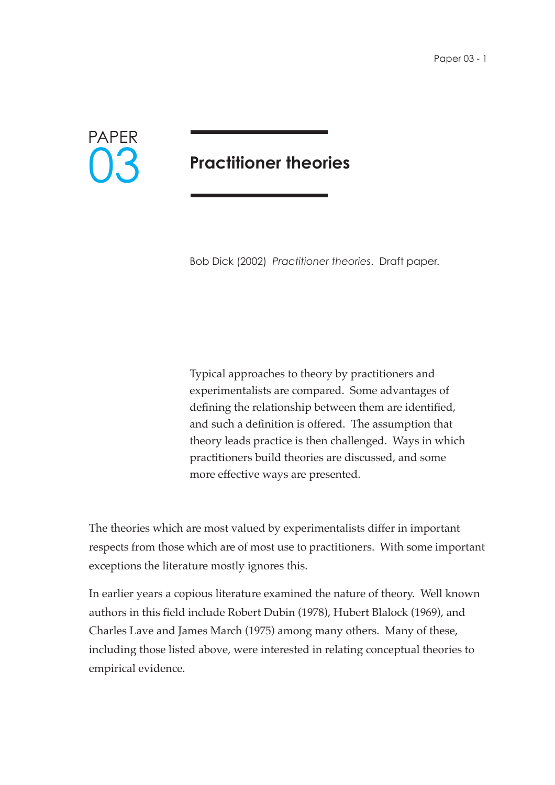

## **Practitioner theories**

Bob Dick (2002) *Practitioner theories*. Draft paper.

Typical approaches to theory by practitioners and experimentalists are compared. Some advantages of defining the relationship between them are identified, and such a definition is offered. The assumption that theory leads practice is then challenged. Ways in which practitioners build theories are discussed, and some more effective ways are presented.

The theories which are most valued by experimentalists differ in important respects from those which are of most use to practitioners. With some important exceptions the literature mostly ignores this.

In earlier years a copious literature examined the nature of theory. Well known authors in this field include Robert Dubin (1978), Hubert Blalock (1969), and Charles Lave and James March (1975) among many others. Many of these, including those listed above, were interested in relating conceptual theories to empirical evidence.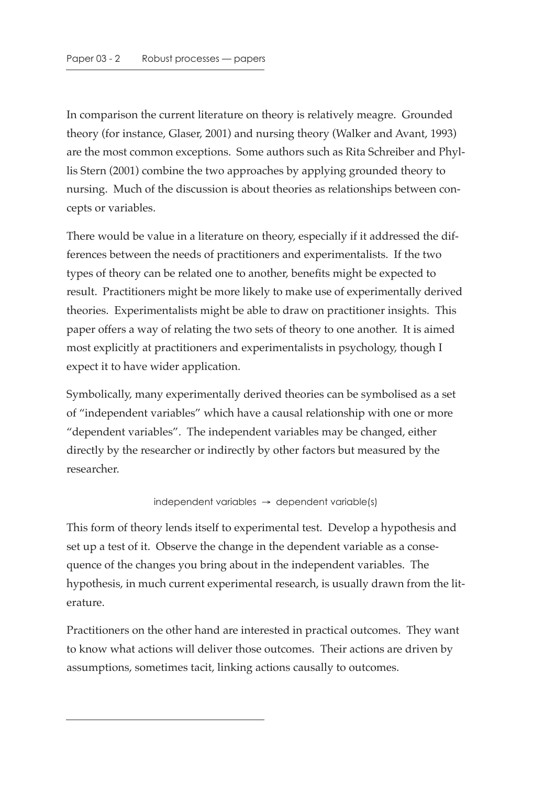In comparison the current literature on theory is relatively meagre. Grounded theory (for instance, Glaser, 2001) and nursing theory (Walker and Avant, 1993) are the most common exceptions. Some authors such as Rita Schreiber and Phyllis Stern (2001) combine the two approaches by applying grounded theory to nursing. Much of the discussion is about theories as relationships between concepts or variables.

There would be value in a literature on theory, especially if it addressed the differences between the needs of practitioners and experimentalists. If the two types of theory can be related one to another, benefits might be expected to result. Practitioners might be more likely to make use of experimentally derived theories. Experimentalists might be able to draw on practitioner insights. This paper offers a way of relating the two sets of theory to one another. It is aimed most explicitly at practitioners and experimentalists in psychology, though I expect it to have wider application.

Symbolically, many experimentally derived theories can be symbolised as a set of "independent variables" which have a causal relationship with one or more "dependent variables". The independent variables may be changed, either directly by the researcher or indirectly by other factors but measured by the researcher.

## $independent$  variables  $\rightarrow$  dependent variable(s)

This form of theory lends itself to experimental test. Develop a hypothesis and set up a test of it. Observe the change in the dependent variable as a consequence of the changes you bring about in the independent variables. The hypothesis, in much current experimental research, is usually drawn from the literature.

Practitioners on the other hand are interested in practical outcomes. They want to know what actions will deliver those outcomes. Their actions are driven by assumptions, sometimes tacit, linking actions causally to outcomes.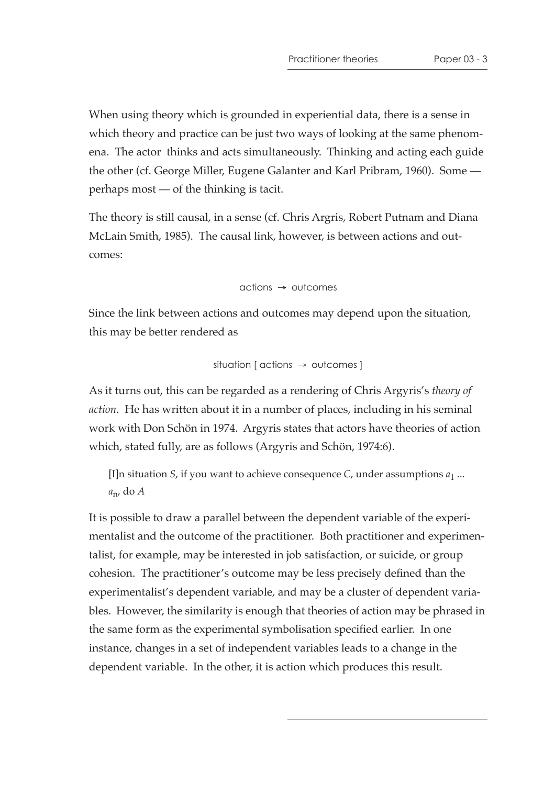When using theory which is grounded in experiential data, there is a sense in which theory and practice can be just two ways of looking at the same phenomena. The actor thinks and acts simultaneously. Thinking and acting each guide the other (cf. George Miller, Eugene Galanter and Karl Pribram, 1960). Some perhaps most — of the thinking is tacit.

The theory is still causal, in a sense (cf. Chris Argris, Robert Putnam and Diana McLain Smith, 1985). The causal link, however, is between actions and outcomes:

actions → outcomes

Since the link between actions and outcomes may depend upon the situation, this may be better rendered as

$$
situation [actions \rightarrow outcomes]
$$

As it turns out, this can be regarded as a rendering of Chris Argyris's *theory of action*. He has written about it in a number of places, including in his seminal work with Don Schön in 1974. Argyris states that actors have theories of action which, stated fully, are as follows (Argyris and Schön, 1974:6).

[I]n situation *S*, if you want to achieve consequence *C*, under assumptions *a*1 ... *a*n, do *A*

It is possible to draw a parallel between the dependent variable of the experimentalist and the outcome of the practitioner. Both practitioner and experimentalist, for example, may be interested in job satisfaction, or suicide, or group cohesion. The practitioner's outcome may be less precisely defined than the experimentalist's dependent variable, and may be a cluster of dependent variables. However, the similarity is enough that theories of action may be phrased in the same form as the experimental symbolisation specified earlier. In one instance, changes in a set of independent variables leads to a change in the dependent variable. In the other, it is action which produces this result.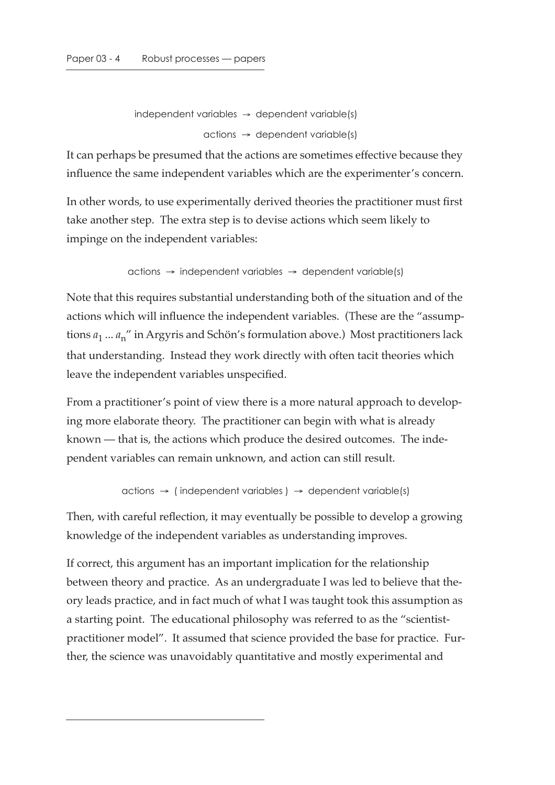```
independent variables \rightarrow dependent variable(s)
      \alphactions \rightarrow dependent variable(s)
```
It can perhaps be presumed that the actions are sometimes effective because they influence the same independent variables which are the experimenter's concern.

In other words, to use experimentally derived theories the practitioner must first take another step. The extra step is to devise actions which seem likely to impinge on the independent variables:

actions → independent variables → dependent variable(s)

Note that this requires substantial understanding both of the situation and of the actions which will influence the independent variables. (These are the "assumptions *a*1 ... *a*n" in Argyris and Schön's formulation above.) Most practitioners lack that understanding. Instead they work directly with often tacit theories which leave the independent variables unspecified.

From a practitioner's point of view there is a more natural approach to developing more elaborate theory. The practitioner can begin with what is already known — that is, the actions which produce the desired outcomes. The independent variables can remain unknown, and action can still result.

```
actions \rightarrow (independent variables) \rightarrow dependent variables
```
Then, with careful reflection, it may eventually be possible to develop a growing knowledge of the independent variables as understanding improves.

If correct, this argument has an important implication for the relationship between theory and practice. As an undergraduate I was led to believe that theory leads practice, and in fact much of what I was taught took this assumption as a starting point. The educational philosophy was referred to as the "scientistpractitioner model". It assumed that science provided the base for practice. Further, the science was unavoidably quantitative and mostly experimental and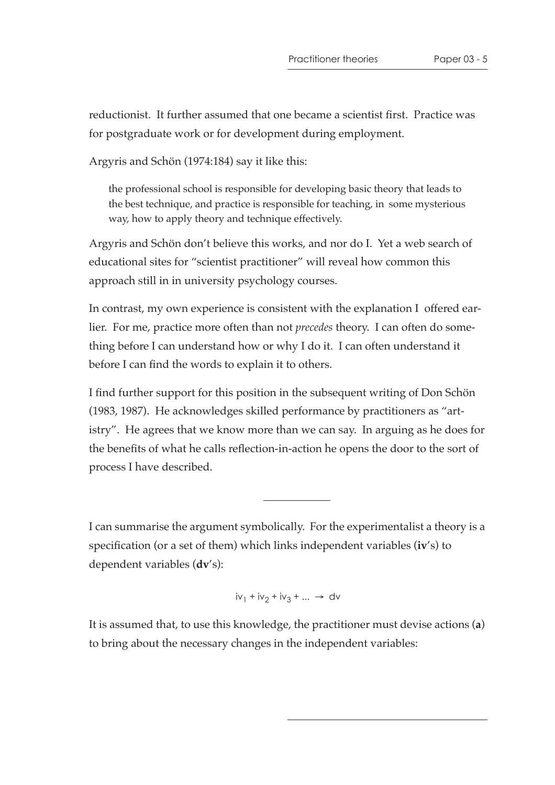reductionist. It further assumed that one became a scientist first. Practice was for postgraduate work or for development during employment.

Argyris and Schön (1974:184) say it like this:

the professional school is responsible for developing basic theory that leads to the best technique, and practice is responsible for teaching, in some mysterious way, how to apply theory and technique effectively.

Argyris and Schön don't believe this works, and nor do I. Yet a web search of educational sites for "scientist practitioner" will reveal how common this approach still in in university psychology courses.

In contrast, my own experience is consistent with the explanation I offered earlier. For me, practice more often than not *precedes* theory. I can often do something before I can understand how or why I do it. I can often understand it before I can find the words to explain it to others.

I find further support for this position in the subsequent writing of Don Schön (1983, 1987). He acknowledges skilled performance by practitioners as "artistry". He agrees that we know more than we can say. In arguing as he does for the benefits of what he calls reflection-in-action he opens the door to the sort of process I have described.

I can summarise the argument symbolically. For the experimentalist a theory is a specification (or a set of them) which links independent variables (**iv**'s) to dependent variables (**dv**'s):

 $iv_1 + iv_2 + iv_3 + ... \rightarrow dv$ 

It is assumed that, to use this knowledge, the practitioner must devise actions (**a**) to bring about the necessary changes in the independent variables: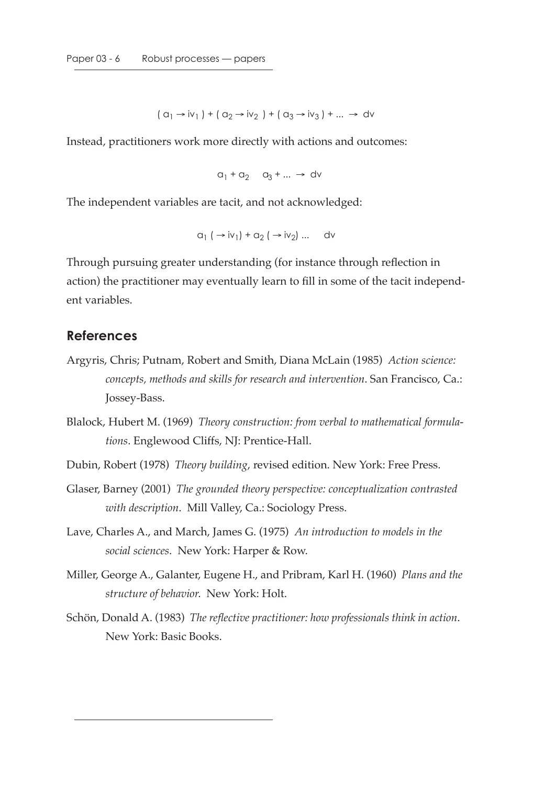$$
(a_1 \rightarrow iv_1) + (a_2 \rightarrow iv_2) + (a_3 \rightarrow iv_3) + ... \rightarrow dv
$$

Instead, practitioners work more directly with actions and outcomes:

$$
a_1 + a_2 + a_3 + \dots \rightarrow dv
$$

The independent variables are tacit, and not acknowledged:

$$
a_1 \rightarrow iv_1 + a_2 \rightarrow iv_2 \rightarrow ... \rightarrow dv
$$

Through pursuing greater understanding (for instance through reflection in action) the practitioner may eventually learn to fill in some of the tacit independent variables.

## **References**

- Argyris, Chris; Putnam, Robert and Smith, Diana McLain (1985) *Action science: concepts, methods and skills for research and intervention*. San Francisco, Ca.: Jossey-Bass.
- Blalock, Hubert M. (1969) *Theory construction: from verbal to mathematical formulations*. Englewood Cliffs, NJ: Prentice-Hall.
- Dubin, Robert (1978) *Theory building*, revised edition. New York: Free Press.
- Glaser, Barney (2001) *The grounded theory perspective: conceptualization contrasted with description*. Mill Valley, Ca.: Sociology Press.
- Lave, Charles A., and March, James G. (1975) *An introduction to models in the social sciences*. New York: Harper & Row.
- Miller, George A., Galanter, Eugene H., and Pribram, Karl H. (1960) *Plans and the structure of behavior*. New York: Holt.
- Schön, Donald A. (1983) *The reflective practitioner: how professionals think in action*. New York: Basic Books.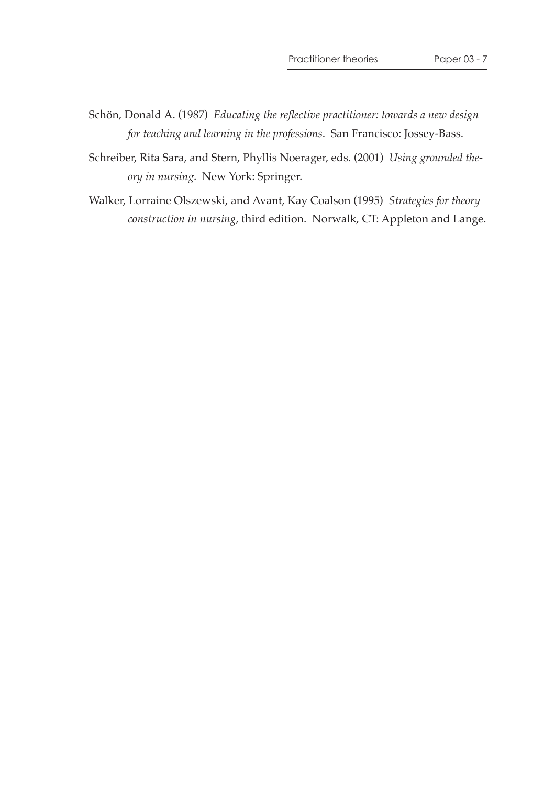- Schön, Donald A. (1987) *Educating the reflective practitioner: towards a new design for teaching and learning in the professions*. San Francisco: Jossey-Bass.
- Schreiber, Rita Sara, and Stern, Phyllis Noerager, eds. (2001) *Using grounded theory in nursing*. New York: Springer.
- Walker, Lorraine Olszewski, and Avant, Kay Coalson (1995) *Strategies for theory construction in nursing*, third edition. Norwalk, CT: Appleton and Lange.